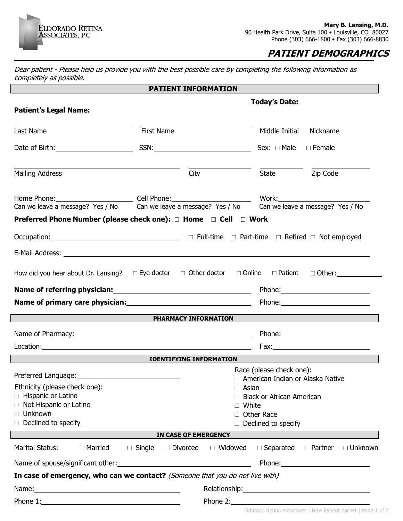

 $\overline{\phantom{a}}$ 

 $\overline{\phantom{a}}$ 

## **PATIENT DEMOGRAPHICS**

Dear patient - Please help us provide you with the best possible care by completing the following information as completely as possible.

|                                                                                                                                                                               | <b>PATIENT INFORMATION</b>               |                   |                                    |                                                |  |
|-------------------------------------------------------------------------------------------------------------------------------------------------------------------------------|------------------------------------------|-------------------|------------------------------------|------------------------------------------------|--|
|                                                                                                                                                                               |                                          |                   |                                    | Today's Date: ____________________             |  |
| <b>Patient's Legal Name:</b>                                                                                                                                                  |                                          |                   |                                    |                                                |  |
|                                                                                                                                                                               |                                          |                   |                                    |                                                |  |
| Last Name                                                                                                                                                                     | First Name                               |                   | Middle Initial Nickname            |                                                |  |
|                                                                                                                                                                               |                                          |                   | Sex: $\Box$ Male $\Box$ Female     |                                                |  |
| <b>Mailing Address</b>                                                                                                                                                        | City                                     |                   | State <b>Zip Code</b>              |                                                |  |
| Home Phone: Cell Phone: Cell Phone: Work: Work: Work amessage? Yes / No<br>Can we leave a message? Yes / No Can we leave a message? Yes / No Can we leave a message? Yes / No |                                          |                   |                                    |                                                |  |
|                                                                                                                                                                               |                                          |                   |                                    |                                                |  |
| Preferred Phone Number (please check one): □ Home □ Cell □ Work                                                                                                               |                                          |                   |                                    |                                                |  |
|                                                                                                                                                                               |                                          |                   |                                    |                                                |  |
|                                                                                                                                                                               |                                          |                   |                                    |                                                |  |
|                                                                                                                                                                               |                                          |                   |                                    |                                                |  |
| How did you hear about Dr. Lansing? $\square$ Eye doctor $\square$ Other doctor $\square$ Online $\square$ Patient $\square$ Other:                                           |                                          |                   |                                    |                                                |  |
|                                                                                                                                                                               |                                          |                   |                                    |                                                |  |
|                                                                                                                                                                               |                                          |                   |                                    |                                                |  |
|                                                                                                                                                                               | <b>EXAMPLE 2018 PHARMACY INFORMATION</b> |                   |                                    |                                                |  |
|                                                                                                                                                                               |                                          |                   |                                    |                                                |  |
|                                                                                                                                                                               |                                          |                   |                                    |                                                |  |
|                                                                                                                                                                               | <b>IDENTIFYING INFORMATION</b>           |                   |                                    |                                                |  |
|                                                                                                                                                                               |                                          |                   | Race (please check one):           |                                                |  |
|                                                                                                                                                                               |                                          |                   | □ American Indian or Alaska Native |                                                |  |
| Ethnicity (please check one):                                                                                                                                                 |                                          | Asian             |                                    |                                                |  |
| □ Hispanic or Latino                                                                                                                                                          |                                          |                   |                                    | <b>Black or African American</b>               |  |
| □ Not Hispanic or Latino<br>$\Box$ Unknown                                                                                                                                    | П                                        |                   | White                              |                                                |  |
| $\Box$ Declined to specify                                                                                                                                                    |                                          | $\Box$ Other Race | $\Box$ Declined to specify         |                                                |  |
|                                                                                                                                                                               | IN CASE OF EMERGENCY                     |                   |                                    |                                                |  |
| Marital Status:<br>$\Box$ Married                                                                                                                                             | $\Box$ Single $\Box$ Divorced            | □ Widowed         |                                    | $\Box$ Separated $\Box$ Partner $\Box$ Unknown |  |
|                                                                                                                                                                               |                                          |                   |                                    |                                                |  |
| In case of emergency, who can we contact? (Someone that you do not live with)                                                                                                 |                                          |                   |                                    |                                                |  |
|                                                                                                                                                                               |                                          |                   |                                    |                                                |  |
|                                                                                                                                                                               |                                          |                   |                                    |                                                |  |
|                                                                                                                                                                               |                                          |                   |                                    | Phone 2:                                       |  |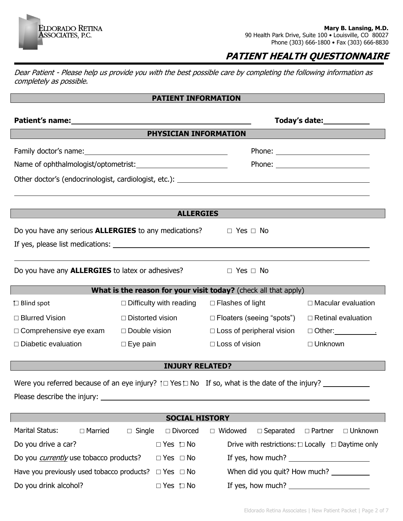#### **Mary B. Lansing, M.D.** 90 Health Park Drive, Suite 100 · Louisville, CO 80027 Phone (303) 666-1800 • Fax (303) 666-8830

# **PATIENT HEALTH QUESTIONNAIRE**

Dear Patient - Please help us provide you with the best possible care by completing the following information as completely as possible.

ELDORADO RETINA<br>ASSOCIATES, P.C.

### **PATIENT INFORMATION**

| Patient's name: Manual Manual Manual Manual Manual Manual Manual Manual Manual Manual Manual Manual Manual Manu                                                                                                                                                                                                                                                     |                                     |                                                                 | Today's date: <u>www.community.com</u>                      |  |  |
|---------------------------------------------------------------------------------------------------------------------------------------------------------------------------------------------------------------------------------------------------------------------------------------------------------------------------------------------------------------------|-------------------------------------|-----------------------------------------------------------------|-------------------------------------------------------------|--|--|
|                                                                                                                                                                                                                                                                                                                                                                     | PHYSICIAN INFORMATION               |                                                                 |                                                             |  |  |
| Name of ophthalmologist/optometrist:                                                                                                                                                                                                                                                                                                                                |                                     |                                                                 |                                                             |  |  |
|                                                                                                                                                                                                                                                                                                                                                                     | <b>ALLERGIES</b>                    |                                                                 |                                                             |  |  |
| Do you have any serious <b>ALLERGIES</b> to any medications? $\Box$ Yes $\Box$ No                                                                                                                                                                                                                                                                                   |                                     |                                                                 |                                                             |  |  |
| Do you have any <b>ALLERGIES</b> to latex or adhesives?<br>$\Box$ Yes $\Box$ No                                                                                                                                                                                                                                                                                     |                                     |                                                                 |                                                             |  |  |
|                                                                                                                                                                                                                                                                                                                                                                     |                                     | What is the reason for your visit today? (check all that apply) |                                                             |  |  |
| $\Box$ Blind spot                                                                                                                                                                                                                                                                                                                                                   | $\Box$ Difficulty with reading      | $\Box$ Flashes of light                                         | $\Box$ Macular evaluation                                   |  |  |
| □ Blurred Vision                                                                                                                                                                                                                                                                                                                                                    | $\Box$ Distorted vision             | □ Floaters (seeing "spots")                                     | $\Box$ Retinal evaluation                                   |  |  |
| $\Box$ Comprehensive eye exam                                                                                                                                                                                                                                                                                                                                       | $\Box$ Double vision                | $\Box$ Loss of peripheral vision                                | □ Other:___________ <u>.</u>                                |  |  |
| $\Box$ Diabetic evaluation                                                                                                                                                                                                                                                                                                                                          | $\Box$ Eye pain                     | $\Box$ Loss of vision                                           | $\Box$ Unknown                                              |  |  |
| <b>INJURY RELATED?</b>                                                                                                                                                                                                                                                                                                                                              |                                     |                                                                 |                                                             |  |  |
| Were you referred because of an eye injury? $\uparrow \Box$ Yes $\Box$ No If so, what is the date of the injury?                                                                                                                                                                                                                                                    |                                     |                                                                 |                                                             |  |  |
| <b>SOCIAL HISTORY</b>                                                                                                                                                                                                                                                                                                                                               |                                     |                                                                 |                                                             |  |  |
| <b>Marital Status:</b><br>$\Box$ Married                                                                                                                                                                                                                                                                                                                            | $\Box$ Single<br>$\square$ Divorced | $\Box$ Widowed<br>$\Box$ Separated                              | □ Partner<br>$\Box$ Unknown                                 |  |  |
| Do you drive a car?                                                                                                                                                                                                                                                                                                                                                 | $\Box$ Yes $\Box$ No                |                                                                 | Drive with restrictions: $\Box$ Locally $\Box$ Daytime only |  |  |
| Do you <i>currently</i> use tobacco products?<br>If yes, how much? $\frac{1}{2}$ and $\frac{1}{2}$ and $\frac{1}{2}$ and $\frac{1}{2}$ and $\frac{1}{2}$ and $\frac{1}{2}$ and $\frac{1}{2}$ and $\frac{1}{2}$ and $\frac{1}{2}$ and $\frac{1}{2}$ and $\frac{1}{2}$ and $\frac{1}{2}$ and $\frac{1}{2}$ and $\frac{1}{2}$ and $\frac{1}{2$<br>$\Box$ Yes $\Box$ No |                                     |                                                                 |                                                             |  |  |
| $\Box$ Yes $\Box$ No<br>When did you quit? How much?<br>Have you previously used tobacco products?                                                                                                                                                                                                                                                                  |                                     |                                                                 |                                                             |  |  |

Do you drink alcohol? □ Yes □ No If yes, how much?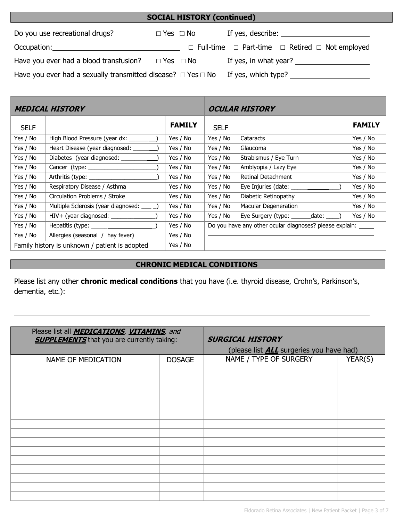| <b>SOCIAL HISTORY (continued)</b>                                      |                      |  |                                                                      |  |
|------------------------------------------------------------------------|----------------------|--|----------------------------------------------------------------------|--|
| Do you use recreational drugs?                                         | $\Box$ Yes $\Box$ No |  | If yes, describe: $\sqrt{ }$                                         |  |
| Occupation:                                                            |                      |  | $\Box$ Full-time $\Box$ Part-time $\Box$ Retired $\Box$ Not employed |  |
| Have you ever had a blood transfusion?                                 | $\Box$ Yes $\Box$ No |  | If yes, in what year?                                                |  |
| Have you ever had a sexually transmitted disease? $\Box$ Yes $\Box$ No |                      |  | If yes, which type?                                                  |  |

|                                                | MEDICAL HISTORY                         |               |                                                               | <b>OCULAR HISTORY</b>                  |               |
|------------------------------------------------|-----------------------------------------|---------------|---------------------------------------------------------------|----------------------------------------|---------------|
| <b>SELF</b>                                    |                                         | <b>FAMILY</b> | <b>SELF</b>                                                   |                                        | <b>FAMILY</b> |
| Yes / No                                       | High Blood Pressure (year dx: ________) | Yes / No      | Yes / No                                                      | Cataracts                              | Yes / No      |
| Yes / No                                       | Heart Disease (year diagnosed: ______   | Yes / No      | Yes / No                                                      | Glaucoma                               | Yes / No      |
| Yes / No                                       | Diabetes (year diagnosed: ________      | Yes / No      | Yes / No                                                      | Strabismus / Eye Turn                  | Yes / No      |
| Yes / No                                       |                                         | Yes / No      | Yes / No                                                      | Amblyopia / Lazy Eye                   | Yes / No      |
| Yes / No                                       |                                         | Yes / No      | Yes / No                                                      | Retinal Detachment                     | Yes / No      |
| Yes / No                                       | Respiratory Disease / Asthma            | Yes / No      | Yes / No                                                      |                                        | Yes / No      |
| Yes / No                                       | Circulation Problems / Stroke           | Yes / No      | Yes / No                                                      | Diabetic Retinopathy                   | Yes / No      |
| Yes / No                                       | Multiple Sclerosis (year diagnosed: _   | Yes / No      | Yes / No                                                      | Macular Degeneration                   | Yes / No      |
| Yes / No                                       |                                         | Yes / No      | Yes / No                                                      | Eye Surgery (type: _______date: _____) | Yes / No      |
| Yes / No                                       |                                         | Yes / No      | Do you have any other ocular diagnoses? please explain: _____ |                                        |               |
| Yes / No                                       | Allergies (seasonal / hay fever)        | Yes / No      |                                                               |                                        |               |
| Family history is unknown / patient is adopted |                                         | Yes / No      |                                                               |                                        |               |

## **CHRONIC MEDICAL CONDITIONS**

Please list any other **chronic medical conditions** that you have (i.e. thyroid disease, Crohn's, Parkinson's, dementia, etc.):

| Please list all <b>MEDICATIONS</b> , VITAMINS, and |               |                                                 |         |  |
|----------------------------------------------------|---------------|-------------------------------------------------|---------|--|
| <b>SUPPLEMENTS</b> that you are currently taking:  |               | <b>SURGICAL HISTORY</b>                         |         |  |
|                                                    |               | (please list <b>ALL</b> surgeries you have had) |         |  |
| NAME OF MEDICATION                                 | <b>DOSAGE</b> | NAME / TYPE OF SURGERY                          | YEAR(S) |  |
|                                                    |               |                                                 |         |  |
|                                                    |               |                                                 |         |  |
|                                                    |               |                                                 |         |  |
|                                                    |               |                                                 |         |  |
|                                                    |               |                                                 |         |  |
|                                                    |               |                                                 |         |  |
|                                                    |               |                                                 |         |  |
|                                                    |               |                                                 |         |  |
|                                                    |               |                                                 |         |  |
|                                                    |               |                                                 |         |  |
|                                                    |               |                                                 |         |  |
|                                                    |               |                                                 |         |  |
|                                                    |               |                                                 |         |  |
|                                                    |               |                                                 |         |  |
|                                                    |               |                                                 |         |  |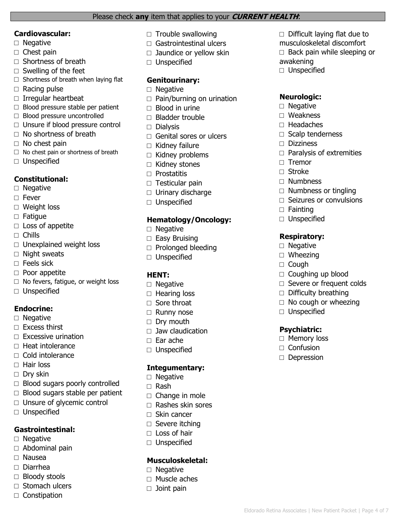#### Please check **any** item that applies to your **CURRENT HEALTH**:

#### **Cardiovascular:**

- □ Negative
- $\square$  Chest pain
- □ Shortness of breath
- $\Box$  Swelling of the feet
- $\square$  Shortness of breath when laying flat
- □ Racing pulse
- □ Irregular heartbeat
- □ Blood pressure stable per patient
- □ Blood pressure uncontrolled
- □ Unsure if blood pressure control
- □ No shortness of breath
- $\Box$  No chest pain
- $\Box$  No chest pain or shortness of breath
- □ Unspecified

## **Constitutional:**

- □ Negative
- □ Fever
- □ Weight loss
- □ Fatigue
- □ Loss of appetite
- □ Chills
- $\Box$  Unexplained weight loss
- □ Night sweats
- □ Feels sick
- □ Poor appetite
- □ No fevers, fatigue, or weight loss
- □ Unspecified

## **Endocrine:**

- □ Negative
- $\Box$  Excess thirst
- $\Box$  Excessive urination
- □ Heat intolerance
- □ Cold intolerance
- □ Hair loss
- □ Dry skin
- $\Box$  Blood sugars poorly controlled
- $\Box$  Blood sugars stable per patient
- □ Unsure of glycemic control
- □ Unspecified

## **Gastrointestinal:**

- □ Negative
- □ Abdominal pain
- □ Nausea
- □ Diarrhea
- □ Bloody stools
- $\Box$  Stomach ulcers
- □ Constipation
- $\square$  Trouble swallowing
- $\Box$  Gastrointestinal ulcers
- $\Box$  Jaundice or yellow skin
- □ Unspecified

## **Genitourinary:**

- □ Negative
- $\Box$  Pain/burning on urination
- $\Box$  Blood in urine
- □ Bladder trouble
- □ Dialysis
- $\Box$  Genital sores or ulcers
- $\Box$  Kidney failure
- $\Box$  Kidney problems
- □ Kidney stones
- □ Prostatitis
- □ Testicular pain
- □ Urinary discharge
- □ Unspecified

### **Hematology/Oncology:**

- □ Negative
- □ Easy Bruising
- □ Prolonged bleeding
- □ Unspecified

## **HENT:**

- □ Negative
- □ Hearing loss
- □ Sore throat
- □ Runny nose
- □ Dry mouth
- $\Box$  Jaw claudication
- □ Ear ache
- □ Unspecified

### **Integumentary:**

- □ Negative
- □ Rash
- $\Box$  Change in mole
- □ Rashes skin sores
- □ Skin cancer
- □ Severe itching
- □ Loss of hair
- □ Unspecified

## **Musculoskeletal:**

- □ Negative
- □ Muscle aches
- □ Joint pain
- $\Box$  Difficult laying flat due to musculoskeletal discomfort
- $\Box$  Back pain while sleeping or
- awakening

Eldorado Retina Associates | New Patient Packet | Page 4 of 7

□ Unspecified

## **Neurologic:**

 $\Box$  Headaches

□ Dizziness

□ Tremor □ Stroke □ Numbness

□ Fainting □ Unspecified

**Respiratory:** □ Negative □ Wheezing □ Cough

□ Unspecified

**Psychiatric:** □ Memory loss □ Confusion □ Depression

□ Coughing up blood □ Severe or frequent colds

 $\Box$  Difficulty breathing  $\Box$  No cough or wheezing

□ Scalp tenderness

 $\Box$  Paralysis of extremities

 $\Box$  Numbness or tingling □ Seizures or convulsions

□ Negative □ Weakness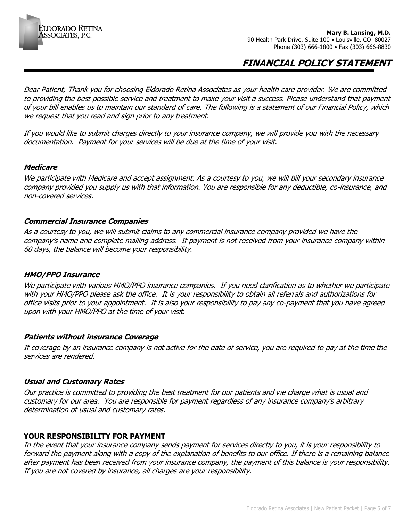

**Mary B. Lansing, M.D.** 90 Health Park Drive, Suite 100 · Louisville, CO 80027 Phone (303) 666-1800 • Fax (303) 666-8830

## **FINANCIAL POLICY STATEMENT**

Dear Patient, Thank you for choosing Eldorado Retina Associates as your health care provider. We are committed to providing the best possible service and treatment to make your visit a success. Please understand that payment of your bill enables us to maintain our standard of care. The following is a statement of our Financial Policy, which we request that you read and sign prior to any treatment.

If you would like to submit charges directly to your insurance company, we will provide you with the necessary documentation. Payment for your services will be due at the time of your visit.

#### **Medicare**

We participate with Medicare and accept assignment. As a courtesy to you, we will bill your secondary insurance company provided you supply us with that information. You are responsible for any deductible, co-insurance, and non-covered services.

#### **Commercial Insurance Companies**

As a courtesy to you, we will submit claims to any commercial insurance company provided we have the company's name and complete mailing address. If payment is not received from your insurance company within 60 days, the balance will become your responsibility.

#### **HMO/PPO Insurance**

We participate with various HMO/PPO insurance companies. If you need clarification as to whether we participate with your HMO/PPO please ask the office. It is your responsibility to obtain all referrals and authorizations for office visits prior to your appointment. It is also your responsibility to pay any co-payment that you have agreed upon with your HMO/PPO at the time of your visit.

#### **Patients without insurance Coverage**

If coverage by an insurance company is not active for the date of service, you are required to pay at the time the services are rendered.

#### **Usual and Customary Rates**

Our practice is committed to providing the best treatment for our patients and we charge what is usual and customary for our area. You are responsible for payment regardless of any insurance company's arbitrary determination of usual and customary rates.

### **YOUR RESPONSIBILITY FOR PAYMENT**

In the event that your insurance company sends payment for services directly to you, it is your responsibility to forward the payment along with a copy of the explanation of benefits to our office. If there is a remaining balance after payment has been received from your insurance company, the payment of this balance is your responsibility. If you are not covered by insurance, all charges are your responsibility.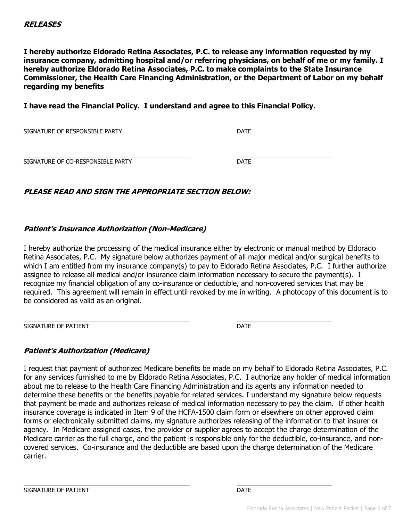**I hereby authorize Eldorado Retina Associates, P.C. to release any information requested by my insurance company, admitting hospital and/or referring physicians, on behalf of me or my family. I hereby authorize Eldorado Retina Associates, P.C. to make complaints to the State Insurance Commissioner, the Health Care Financing Administration, or the Department of Labor on my behalf regarding my benefits** 

**I have read the Financial Policy. I understand and agree to this Financial Policy.**

SIGNATURE OF RESPONSIBLE PARTY **Example 20 SIGNATURE OF RESPONSIBLE PARTY** 

SIGNATURE OF CO-RESPONSIBLE PARTY **EXAMPLE AND SIGNATURE OF CO-RESPONSIBLE PARTY** 

## **PLEASE READ AND SIGN THE APPROPRIATE SECTION BELOW:**

## **Patient's Insurance Authorization (Non-Medicare)**

I hereby authorize the processing of the medical insurance either by electronic or manual method by Eldorado Retina Associates, P.C. My signature below authorizes payment of all major medical and/or surgical benefits to which I am entitled from my insurance company(s) to pay to Eldorado Retina Associates, P.C. I further authorize assignee to release all medical and/or insurance claim information necessary to secure the payment(s). I recognize my financial obligation of any co-insurance or deductible, and non-covered services that may be required. This agreement will remain in effect until revoked by me in writing. A photocopy of this document is to be considered as valid as an original.

SIGNATURE OF PATIENT **DATE** 

## **Patient's Authorization (Medicare)**

I request that payment of authorized Medicare benefits be made on my behalf to Eldorado Retina Associates, P.C. for any services furnished to me by Eldorado Retina Associates, P.C. I authorize any holder of medical information about me to release to the Health Care Financing Administration and its agents any information needed to determine these benefits or the benefits payable for related services. I understand my signature below requests that payment be made and authorizes release of medical information necessary to pay the claim. If other health insurance coverage is indicated in Item 9 of the HCFA-1500 claim form or elsewhere on other approved claim forms or electronically submitted claims, my signature authorizes releasing of the information to that insurer or agency. In Medicare assigned cases, the provider or supplier agrees to accept the charge determination of the Medicare carrier as the full charge, and the patient is responsible only for the deductible, co-insurance, and noncovered services. Co-insurance and the deductible are based upon the charge determination of the Medicare carrier.